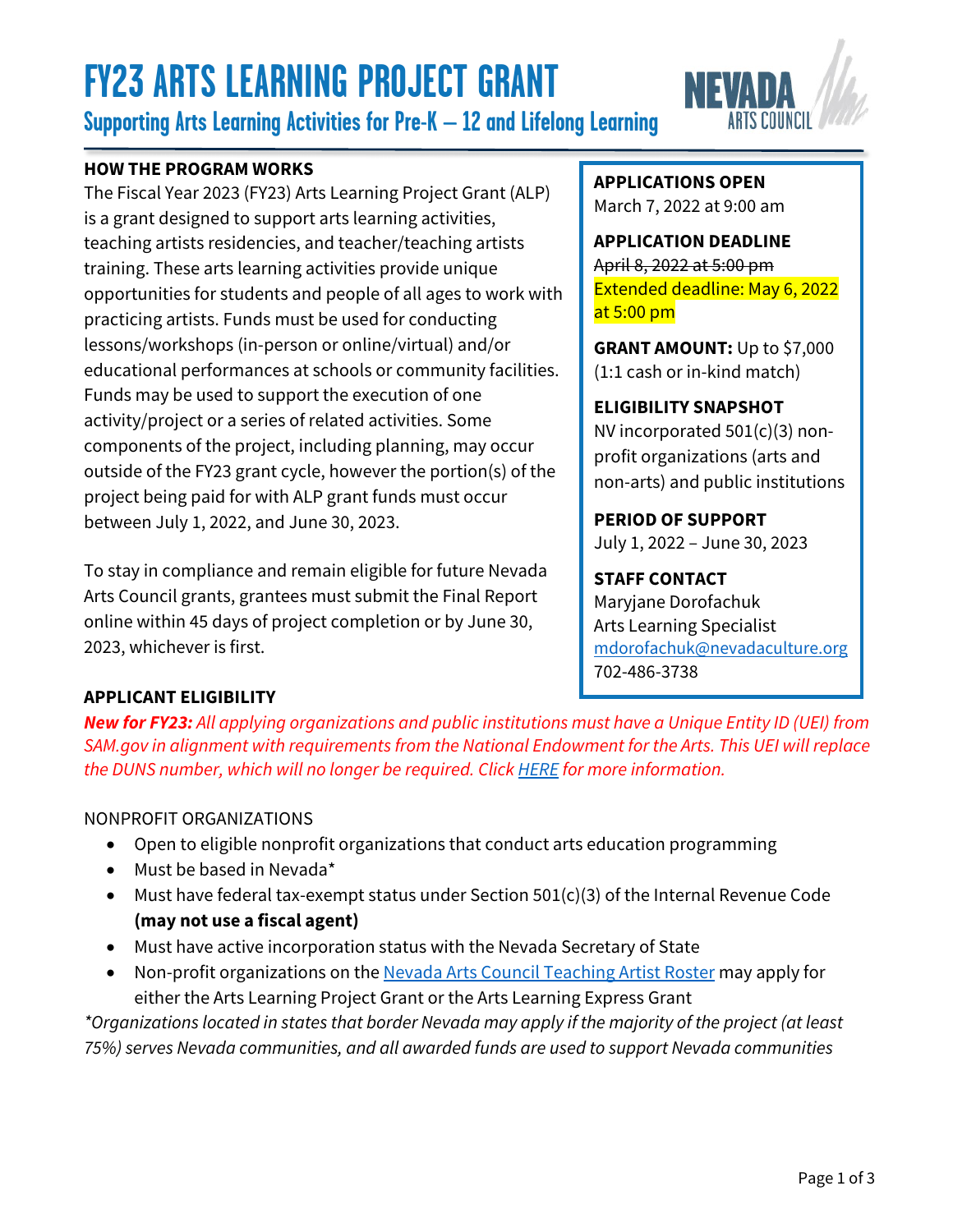# **FY23 ARTS LEARNING PROJECT GRANT**

**Supporting Arts Learning Activities for Pre-K – 12 and Lifelong Learning**

### **HOW THE PROGRAM WORKS**

The Fiscal Year 2023 (FY23) Arts Learning Project Grant (ALP) is a grant designed to support arts learning activities, teaching artists residencies, and teacher/teaching artists training. These arts learning activities provide unique opportunities for students and people of all ages to work with practicing artists. Funds must be used for conducting lessons/workshops (in-person or online/virtual) and/or educational performances at schools or community facilities. Funds may be used to support the execution of one activity/project or a series of related activities. Some components of the project, including planning, may occur outside of the FY23 grant cycle, however the portion(s) of the project being paid for with ALP grant funds must occur between July 1, 2022, and June 30, 2023.

To stay in compliance and remain eligible for future Nevada Arts Council grants, grantees must submit the Final Report online within 45 days of project completion or by June 30, 2023, whichever is first.

#### **APPLICATIONS OPEN** March 7, 2022 at 9:00 am

**APPLICATION DEADLINE** April 8, 2022 at 5:00 pm Extended deadline: May 6, 2022 at 5:00 pm

**GRANT AMOUNT:** Up to \$7,000 (1:1 cash or in-kind match)

## **ELIGIBILITY SNAPSHOT**

NV incorporated 501(c)(3) nonprofit organizations (arts and non-arts) and public institutions

**PERIOD OF SUPPORT** July 1, 2022 – June 30, 2023

**STAFF CONTACT** Maryjane Dorofachuk Arts Learning Specialist [mdorofachuk@nevadaculture.org](mailto: mdorofachuk@nevadaculture.org) 702-486-3738

## **APPLICANT ELIGIBILITY**

*New for FY23: All applying organizations and public institutions must have a Unique Entity ID (UEI) from SAM.gov in alignment with requirements from the National Endowment for the Arts. This UEI will replace the DUNS number, which will no longer be required. Click [HERE](https://www.nvartscouncil.org/grants/resources-for-grant-applicants/) for more information.*

## NONPROFIT ORGANIZATIONS

- Open to eligible nonprofit organizations that conduct arts education programming
- Must be based in Nevada\*
- Must have federal tax-exempt status under Section 501(c)(3) of the Internal Revenue Code **(may not use a fiscal agent)**
- Must have active incorporation status with the Nevada Secretary of State
- Non-profit organizations on the [Nevada Arts Council Teaching Artist Roster](https://www.nvartscouncil.org/rosters/teaching-artists/) may apply for either the Arts Learning Project Grant or the Arts Learning Express Grant

*\*Organizations located in states that border Nevada may apply if the majority of the project (at least 75%) serves Nevada communities, and all awarded funds are used to support Nevada communities*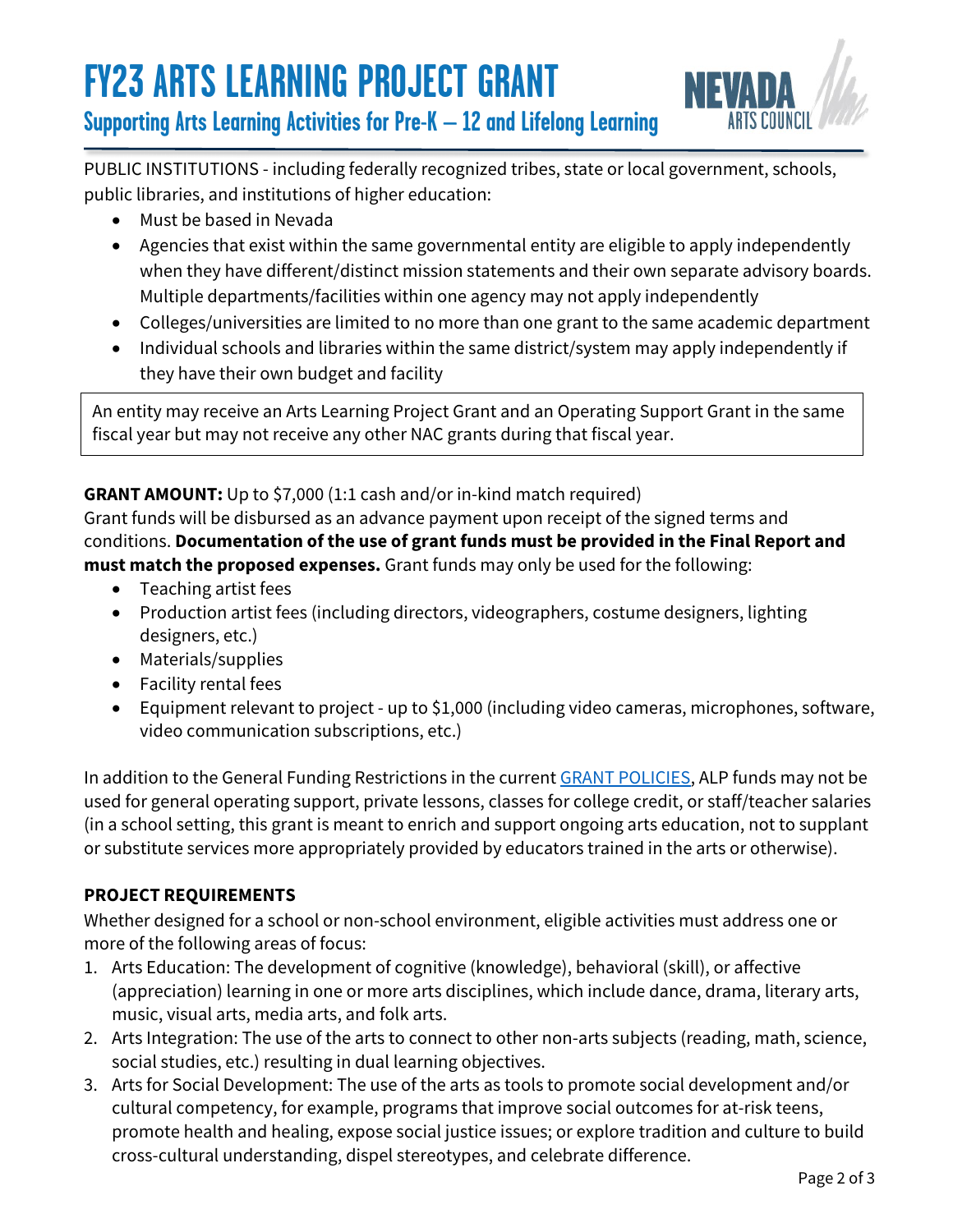

**Supporting Arts Learning Activities for Pre-K – 12 and Lifelong Learning**

PUBLIC INSTITUTIONS - including federally recognized tribes, state or local government, schools, public libraries, and institutions of higher education:

- Must be based in Nevada
- Agencies that exist within the same governmental entity are eligible to apply independently when they have different/distinct mission statements and their own separate advisory boards. Multiple departments/facilities within one agency may not apply independently
- Colleges/universities are limited to no more than one grant to the same academic department
- Individual schools and libraries within the same district/system may apply independently if they have their own budget and facility

An entity may receive an Arts Learning Project Grant and an Operating Support Grant in the same fiscal year but may not receive any other NAC grants during that fiscal year.

## **GRANT AMOUNT:** Up to \$7,000 (1:1 cash and/or in-kind match required)

Grant funds will be disbursed as an advance payment upon receipt of the signed terms and conditions. **Documentation of the use of grant funds must be provided in the Final Report and must match the proposed expenses.** Grant funds may only be used for the following:

- Teaching artist fees
- Production artist fees (including directors, videographers, costume designers, lighting designers, etc.)
- Materials/supplies
- Facility rental fees
- Equipment relevant to project up to \$1,000 (including video cameras, microphones, software, video communication subscriptions, etc.)

In addition to the General Funding Restrictions in the current **GRANT POLICIES**, ALP funds may not be used for general operating support, private lessons, classes for college credit, or staff/teacher salaries (in a school setting, this grant is meant to enrich and support ongoing arts education, not to supplant or substitute services more appropriately provided by educators trained in the arts or otherwise).

### **PROJECT REQUIREMENTS**

Whether designed for a school or non-school environment, eligible activities must address one or more of the following areas of focus:

- 1. Arts Education: The development of cognitive (knowledge), behavioral (skill), or affective (appreciation) learning in one or more arts disciplines, which include dance, drama, literary arts, music, visual arts, media arts, and folk arts.
- 2. Arts Integration: The use of the arts to connect to other non-arts subjects (reading, math, science, social studies, etc.) resulting in dual learning objectives.
- 3. Arts for Social Development: The use of the arts as tools to promote social development and/or cultural competency, for example, programs that improve social outcomes for at-risk teens, promote health and healing, expose social justice issues; or explore tradition and culture to build cross-cultural understanding, dispel stereotypes, and celebrate difference.